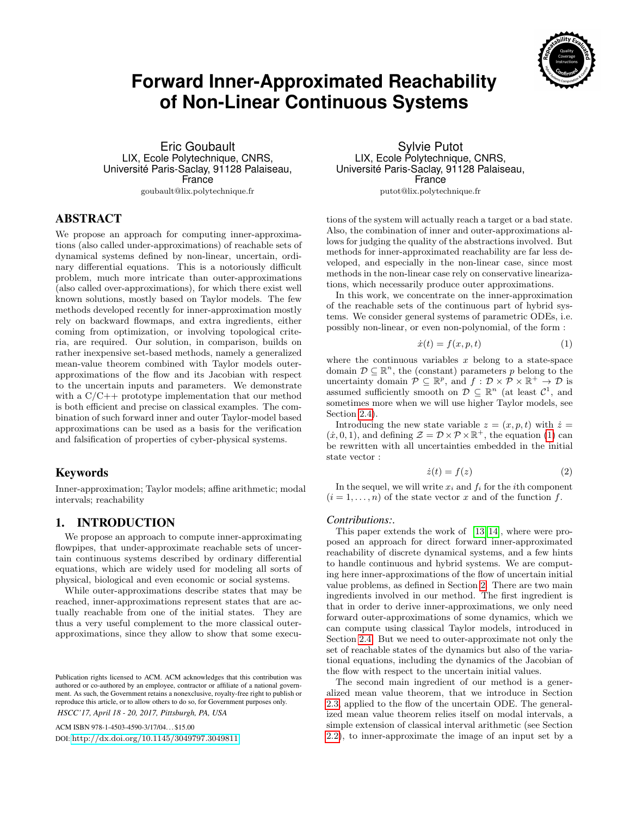

# **Forward Inner-Approximated Reachability of Non-Linear Continuous Systems**

Eric Goubault LIX, Ecole Polytechnique, CNRS, Université Paris-Saclay, 91128 Palaiseau, France goubault@lix.polytechnique.fr

ABSTRACT

We propose an approach for computing inner-approximations (also called under-approximations) of reachable sets of dynamical systems defined by non-linear, uncertain, ordinary differential equations. This is a notoriously difficult problem, much more intricate than outer-approximations (also called over-approximations), for which there exist well known solutions, mostly based on Taylor models. The few methods developed recently for inner-approximation mostly rely on backward flowmaps, and extra ingredients, either coming from optimization, or involving topological criteria, are required. Our solution, in comparison, builds on rather inexpensive set-based methods, namely a generalized mean-value theorem combined with Taylor models outerapproximations of the flow and its Jacobian with respect to the uncertain inputs and parameters. We demonstrate with a C/C++ prototype implementation that our method is both efficient and precise on classical examples. The combination of such forward inner and outer Taylor-model based approximations can be used as a basis for the verification and falsification of properties of cyber-physical systems.

# **Keywords**

Inner-approximation; Taylor models; affine arithmetic; modal intervals; reachability

# 1. INTRODUCTION

We propose an approach to compute inner-approximating flowpipes, that under-approximate reachable sets of uncertain continuous systems described by ordinary differential equations, which are widely used for modeling all sorts of physical, biological and even economic or social systems.

While outer-approximations describe states that may be reached, inner-approximations represent states that are actually reachable from one of the initial states. They are thus a very useful complement to the more classical outerapproximations, since they allow to show that some execu-

ACM ISBN 978-1-4503-4590-3/17/04. . . \$15.00 DOI: <http://dx.doi.org/10.1145/3049797.3049811>

Sylvie Putot LIX, Ecole Polytechnique, CNRS, Université Paris-Saclay, 91128 Palaiseau, France

putot@lix.polytechnique.fr

tions of the system will actually reach a target or a bad state. Also, the combination of inner and outer-approximations allows for judging the quality of the abstractions involved. But methods for inner-approximated reachability are far less developed, and especially in the non-linear case, since most methods in the non-linear case rely on conservative linearizations, which necessarily produce outer approximations.

In this work, we concentrate on the inner-approximation of the reachable sets of the continuous part of hybrid systems. We consider general systems of parametric ODEs, i.e. possibly non-linear, or even non-polynomial, of the form :

<span id="page-0-0"></span>
$$
\dot{x}(t) = f(x, p, t) \tag{1}
$$

where the continuous variables  $x$  belong to a state-space domain  $\mathcal{D} \subseteq \mathbb{R}^n$ , the (constant) parameters p belong to the uncertainty domain  $\mathcal{P} \subseteq \mathbb{R}^p$ , and  $f: \mathcal{D} \times \mathcal{P} \times \mathbb{R}^+ \to \mathcal{D}$  is assumed sufficiently smooth on  $\mathcal{D} \subseteq \mathbb{R}^n$  (at least  $\mathcal{C}^1$ , and sometimes more when we will use higher Taylor models, see Section [2.4\)](#page-2-0).

Introducing the new state variable  $z = (x, p, t)$  with  $\dot{z} =$  $(\dot{x}, 0, 1)$ , and defining  $\mathcal{Z} = \mathcal{D} \times \mathcal{P} \times \mathbb{R}^+$ , the equation [\(1\)](#page-0-0) can be rewritten with all uncertainties embedded in the initial state vector :

<span id="page-0-1"></span>
$$
\dot{z}(t) = f(z) \tag{2}
$$

In the sequel, we will write  $x_i$  and  $f_i$  for the *i*<sup>th</sup> component  $(i = 1, \ldots, n)$  of the state vector x and of the function f.

#### *Contributions:.*

This paper extends the work of [\[13,](#page-9-0) [14\]](#page-9-1), where were proposed an approach for direct forward inner-approximated reachability of discrete dynamical systems, and a few hints to handle continuous and hybrid systems. We are computing here inner-approximations of the flow of uncertain initial value problems, as defined in Section [2.](#page-1-0) There are two main ingredients involved in our method. The first ingredient is that in order to derive inner-approximations, we only need forward outer-approximations of some dynamics, which we can compute using classical Taylor models, introduced in Section [2.4.](#page-2-0) But we need to outer-approximate not only the set of reachable states of the dynamics but also of the variational equations, including the dynamics of the Jacobian of the flow with respect to the uncertain initial values.

The second main ingredient of our method is a generalized mean value theorem, that we introduce in Section [2.3,](#page-2-1) applied to the flow of the uncertain ODE. The generalized mean value theorem relies itself on modal intervals, a simple extension of classical interval arithmetic (see Section [2.2\)](#page-1-1), to inner-approximate the image of an input set by a

Publication rights licensed to ACM. ACM acknowledges that this contribution was authored or co-authored by an employee, contractor or affiliate of a national government. As such, the Government retains a nonexclusive, royalty-free right to publish or reproduce this article, or to allow others to do so, for Government purposes only. *HSCC'17, April 18 - 20, 2017, Pittsburgh, PA, USA*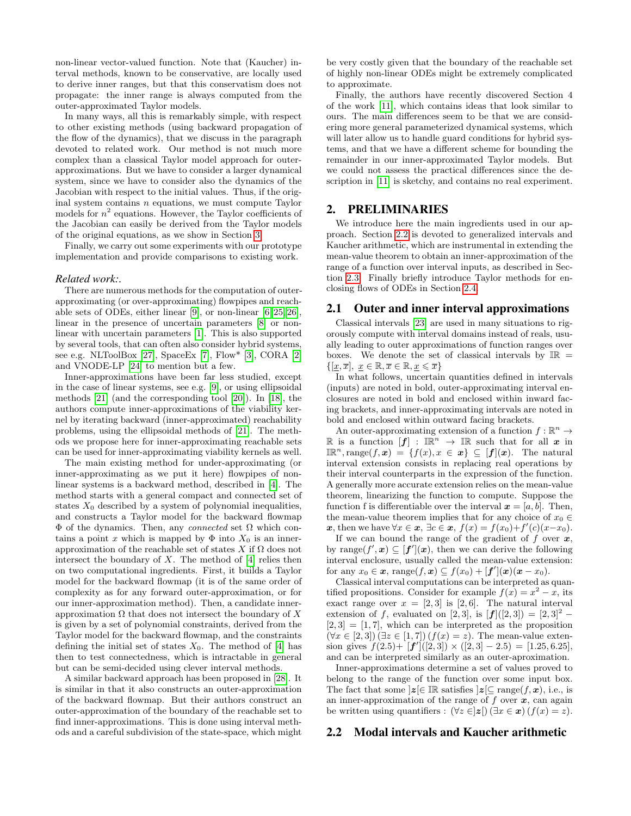non-linear vector-valued function. Note that (Kaucher) interval methods, known to be conservative, are locally used to derive inner ranges, but that this conservatism does not propagate: the inner range is always computed from the outer-approximated Taylor models.

In many ways, all this is remarkably simple, with respect to other existing methods (using backward propagation of the flow of the dynamics), that we discuss in the paragraph devoted to related work. Our method is not much more complex than a classical Taylor model approach for outerapproximations. But we have to consider a larger dynamical system, since we have to consider also the dynamics of the Jacobian with respect to the initial values. Thus, if the original system contains  $n$  equations, we must compute Taylor models for  $n^2$  equations. However, the Taylor coefficients of the Jacobian can easily be derived from the Taylor models of the original equations, as we show in Section [3.](#page-3-0)

Finally, we carry out some experiments with our prototype implementation and provide comparisons to existing work.

#### *Related work:.*

There are numerous methods for the computation of outerapproximating (or over-approximating) flowpipes and reachable sets of ODEs, either linear [\[9\]](#page-9-2), or non-linear [\[6,](#page-9-3) [25,](#page-9-4) [26\]](#page-9-5), linear in the presence of uncertain parameters [\[8\]](#page-9-6) or nonlinear with uncertain parameters [\[1\]](#page-9-7). This is also supported by several tools, that can often also consider hybrid systems, see e.g. NLToolBox [\[27\]](#page-9-8), SpaceEx [\[7\]](#page-9-9), Flow\* [\[3\]](#page-9-10), CORA [\[2\]](#page-9-11) and VNODE-LP [\[24\]](#page-9-12) to mention but a few.

Inner-approximations have been far less studied, except in the case of linear systems, see e.g. [\[9\]](#page-9-2), or using ellipsoidal methods [\[21\]](#page-9-13) (and the corresponding tool [\[20\]](#page-9-14)). In [\[18\]](#page-9-15), the authors compute inner-approximations of the viability kernel by iterating backward (inner-approximated) reachability problems, using the ellipsoidal methods of [\[21\]](#page-9-13). The methods we propose here for inner-approximating reachable sets can be used for inner-approximating viability kernels as well.

The main existing method for under-approximating (or inner-approximating as we put it here) flowpipes of nonlinear systems is a backward method, described in [\[4\]](#page-9-16). The method starts with a general compact and connected set of states  $X_0$  described by a system of polynomial inequalities, and constructs a Taylor model for the backward flowmap Φ of the dynamics. Then, any connected set Ω which contains a point x which is mapped by  $\Phi$  into  $X_0$  is an innerapproximation of the reachable set of states X if  $\Omega$  does not intersect the boundary of  $X$ . The method of [\[4\]](#page-9-16) relies then on two computational ingredients. First, it builds a Taylor model for the backward flowmap (it is of the same order of complexity as for any forward outer-approximation, or for our inner-approximation method). Then, a candidate innerapproximation  $\Omega$  that does not intersect the boundary of X is given by a set of polynomial constraints, derived from the Taylor model for the backward flowmap, and the constraints defining the initial set of states  $X_0$ . The method of [\[4\]](#page-9-16) has then to test connectedness, which is intractable in general but can be semi-decided using clever interval methods.

A similar backward approach has been proposed in [\[28\]](#page-9-17). It is similar in that it also constructs an outer-approximation of the backward flowmap. But their authors construct an outer-approximation of the boundary of the reachable set to find inner-approximations. This is done using interval methods and a careful subdivision of the state-space, which might

be very costly given that the boundary of the reachable set of highly non-linear ODEs might be extremely complicated to approximate.

Finally, the authors have recently discovered Section 4 of the work [\[11\]](#page-9-18), which contains ideas that look similar to ours. The main differences seem to be that we are considering more general parameterized dynamical systems, which will later allow us to handle guard conditions for hybrid systems, and that we have a different scheme for bounding the remainder in our inner-approximated Taylor models. But we could not assess the practical differences since the de-scription in [\[11\]](#page-9-18) is sketchy, and contains no real experiment.

# <span id="page-1-0"></span>2. PRELIMINARIES

We introduce here the main ingredients used in our approach. Section [2.2](#page-1-1) is devoted to generalized intervals and Kaucher arithmetic, which are instrumental in extending the mean-value theorem to obtain an inner-approximation of the range of a function over interval inputs, as described in Section [2.3.](#page-2-1) Finally briefly introduce Taylor methods for enclosing flows of ODEs in Section [2.4.](#page-2-0)

## 2.1 Outer and inner interval approximations

Classical intervals [\[23\]](#page-9-19) are used in many situations to rigorously compute with interval domains instead of reals, usually leading to outer approximations of function ranges over boxes. We denote the set of classical intervals by  $\mathbb{IR}$  =  $\{[\underline{x}, \overline{x}], \underline{x} \in \mathbb{R}, \overline{x} \in \mathbb{R}, \underline{x} \leq \overline{x}\}\$ 

In what follows, uncertain quantities defined in intervals (inputs) are noted in bold, outer-approximating interval enclosures are noted in bold and enclosed within inward facing brackets, and inner-approximating intervals are noted in bold and enclosed within outward facing brackets.

An outer-approximating extension of a function  $f : \mathbb{R}^n \to$ R is a function  $[f] : \mathbb{R}^n \to \mathbb{R}$  such that for all x in  $\mathbb{IR}^n$ , range $(f, x) = \{f(x), x \in x\} \subseteq [f](x)$ . The natural interval extension consists in replacing real operations by their interval counterparts in the expression of the function. A generally more accurate extension relies on the mean-value theorem, linearizing the function to compute. Suppose the function f is differentiable over the interval  $\mathbf{x} = [a, b]$ . Then, the mean-value theorem implies that for any choice of  $x_0 \in$ x, then we have  $\forall x \in \mathbf{x}, \exists c \in \mathbf{x}, f(x) = f(x_0) + f'(c)(x - x_0)$ .

If we can bound the range of the gradient of f over  $x$ , by range $(f',\mathbf{x}) \subseteq [\mathbf{f}'](\mathbf{x})$ , then we can derive the following interval enclosure, usually called the mean-value extension: for any  $x_0 \in \mathbf{x}$ , range $(f, \mathbf{x}) \subseteq f(x_0) + [f'](\mathbf{x})(\mathbf{x} - x_0)$ .

Classical interval computations can be interpreted as quantified propositions. Consider for example  $f(x) = x^2 - x$ , its exact range over  $x = \begin{bmatrix} 2 \\ 3 \end{bmatrix}$  is  $\begin{bmatrix} 2 \\ 6 \end{bmatrix}$ . The natural interval extension of f, evaluated on [2, 3], is  $[f]([2,3]) = [2,3]^2$  –  $[2, 3] = [1, 7]$ , which can be interpreted as the proposition  $(\forall x \in [2, 3])$   $(\exists z \in [1, 7])$   $(f(x) = z)$ . The mean-value extension gives  $f(2.5) + [f'](2,3) \times (2.3) - 2.5 = [1.25, 6.25],$ and can be interpreted similarly as an outer-aproximation.

Inner-approximations determine a set of values proved to belong to the range of the function over some input box. The fact that some  $|z| \in \mathbb{IR}$  satisfies  $|z| \subseteq \text{range}(f, x)$ , i.e., is an inner-approximation of the range of  $f$  over  $x$ , can again be written using quantifiers :  $(\forall z \in \, |z|)$   $(\exists x \in \mathbf{x})$   $(f(x) = z)$ .

## <span id="page-1-1"></span>2.2 Modal intervals and Kaucher arithmetic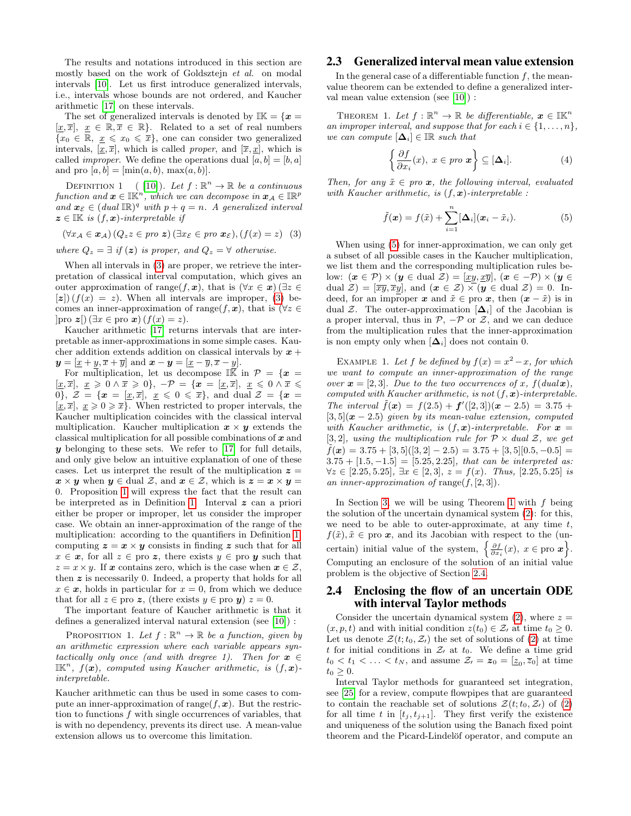The results and notations introduced in this section are mostly based on the work of Goldsztejn et al. on modal intervals [\[10\]](#page-9-20). Let us first introduce generalized intervals, i.e., intervals whose bounds are not ordered, and Kaucher arithmetic [\[17\]](#page-9-21) on these intervals.

The set of generalized intervals is denoted by  $\mathbb{I}\mathbb{K} = \{x =$  $[\underline{x}, \overline{x}], \underline{x} \in \mathbb{R}, \overline{x} \in \mathbb{R}$ . Related to a set of real numbers  ${x_0 \in \mathbb{R}, \underline{x} \leq x_0 \leq \overline{x}}$ , one can consider two generalized intervals,  $[\underline{x}, \overline{x}]$ , which is called *proper*, and  $[\overline{x}, \underline{x}]$ , which is called *improper*. We define the operations dual  $[a, b] = [b, a]$ and pro  $[a, b] = [\min(a, b), \max(a, b)].$ 

<span id="page-2-4"></span>DEFINITION 1 (10). Let  $f : \mathbb{R}^n \to \mathbb{R}$  be a continuous function and  $\boldsymbol{x} \in \mathbb{IK}^n$ , which we can decompose in  $\boldsymbol{x}_\mathcal{A} \in \mathbb{IR}^p$ and  $\boldsymbol{x}_{\mathcal{E}} \in (dual \mathbb{R})^q$  with  $p + q = n$ . A generalized interval  $z \in \mathbb{K}$  is  $(f, x)$ -interpretable if

<span id="page-2-2"></span>
$$
(\forall x_{\mathcal{A}} \in \mathbf{x}_{\mathcal{A}}) (Q_z z \in \text{pro } \mathbf{z}) (\exists x_{\mathcal{E}} \in \text{pro } \mathbf{x}_{\mathcal{E}}), (f(x) = z) \tag{3}
$$

where  $Q_z = \exists$  if  $(z)$  is proper, and  $Q_z = \forall$  otherwise.

When all intervals in [\(3\)](#page-2-2) are proper, we retrieve the interpretation of classical interval computation, which gives an outer approximation of range $(f, x)$ , that is  $(\forall x \in x)$  ( $\exists z \in \mathbb{R}$ )  $\mathbb{E}[z](f(x) = z)$ . When all intervals are improper, [\(3\)](#page-2-2) becomes an inner-approximation of range $(f, x)$ , that is  $(\forall z \in$  $|{\rm pro} z|$  ( $\exists x \in {\rm pro} x$ )  $(f(x) = z)$ .

Kaucher arithmetic [\[17\]](#page-9-21) returns intervals that are interpretable as inner-approximations in some simple cases. Kaucher addition extends addition on classical intervals by  $x +$  $y = [\underline{x} + y, \overline{x} + \overline{y}]$  and  $\boldsymbol{x} - \boldsymbol{y} = [\underline{x} - \overline{y}, \overline{x} - y]$ .

For multiplication, let us decompose  $\mathbb{I}\bar{\bar{\mathbb{K}}}$  in  $\mathcal{P} = \{\boldsymbol{x} =$  $[\underline{x}, \overline{x}], \underline{x} \geqslant 0 \wedge \overline{x} \geqslant 0$ ,  $-\mathcal{P} = {\mathbf{x} = [\underline{x}, \overline{x}], \underline{x} \leqslant 0 \wedge \overline{x} \leqslant \overline{0}}$ 0},  $\mathcal{Z} = {\mathbf{x} = [\underline{x}, \overline{x}]$ ,  $\underline{x} \leq 0 \leq \overline{x}$ , and dual  $\mathcal{Z} = {\mathbf{x} = [\underline{x} \in \mathbb{R}]}$  $[\underline{x}, \overline{x}], \underline{x} \geq 0 \geq \overline{x}$ . When restricted to proper intervals, the Kaucher multiplication coincides with the classical interval multiplication. Kaucher multiplication  $x \times y$  extends the classical multiplication for all possible combinations of  $x$  and  $y$  belonging to these sets. We refer to [\[17\]](#page-9-21) for full details, and only give below an intuitive explanation of one of these cases. Let us interpret the result of the multiplication  $z =$  $\mathbf{x} \times \mathbf{y}$  when  $\mathbf{y} \in \text{dual } \mathcal{Z}$ , and  $\mathbf{x} \in \mathcal{Z}$ , which is  $\mathbf{z} = \mathbf{x} \times \mathbf{y} =$ 0. Proposition [1](#page-2-3) will express the fact that the result can be interpreted as in Definition [1.](#page-2-4) Interval  $z$  can a priori either be proper or improper, let us consider the improper case. We obtain an inner-approximation of the range of the multiplication: according to the quantifiers in Definition [1,](#page-2-4) computing  $z = x \times y$  consists in finding z such that for all  $x \in \mathbf{x}$ , for all  $z \in \text{pro } \mathbf{z}$ , there exists  $y \in \text{pro } \mathbf{y}$  such that  $z = x \times y$ . If x contains zero, which is the case when  $x \in \mathcal{Z}$ , then  $z$  is necessarily 0. Indeed, a property that holds for all  $x \in \mathbf{x}$ , holds in particular for  $x = 0$ , from which we deduce that for all  $z \in \text{pro } z$ , (there exists  $y \in \text{pro } y$ )  $z = 0$ .

The important feature of Kaucher arithmetic is that it defines a generalized interval natural extension (see [\[10\]](#page-9-20)) :

PROPOSITION 1. Let  $f : \mathbb{R}^n \to \mathbb{R}$  be a function, given by an arithmetic expression where each variable appears syntactically only once (and with dregree 1). Then for  $x \in$  $\mathbb{I} \mathbb{K}^n$ ,  $f(\boldsymbol{x})$ , computed using Kaucher arithmetic, is  $(f, \boldsymbol{x})$ interpretable.

Kaucher arithmetic can thus be used in some cases to compute an inner-approximation of range $(f, x)$ . But the restriction to functions  $f$  with single occurrences of variables, that is with no dependency, prevents its direct use. A mean-value extension allows us to overcome this limitation.

# <span id="page-2-1"></span>2.3 Generalized interval mean value extension

In the general case of a differentiable function  $f$ , the meanvalue theorem can be extended to define a generalized interval mean value extension (see [\[10\]](#page-9-20)) :

THEOREM 1. Let  $f : \mathbb{R}^n \to \mathbb{R}$  be differentiable,  $\boldsymbol{x} \in \mathbb{I} \mathbb{K}^n$ an improper interval, and suppose that for each  $i \in \{1, \ldots, n\}$ , we can compute  $[\Delta_i] \in \mathbb{IR}$  such that

<span id="page-2-6"></span>
$$
\left\{\frac{\partial f}{\partial x_i}(x), \ x \in \text{pro } \mathbf{x}\right\} \subseteq [\Delta_i]. \tag{4}
$$

Then, for any  $\tilde{x} \in pro\boldsymbol{x}$ , the following interval, evaluated with Kaucher arithmetic, is  $(f, x)$ -interpretable :

<span id="page-2-5"></span>
$$
\tilde{f}(\boldsymbol{x}) = f(\tilde{x}) + \sum_{i=1}^{n} [\Delta_i] (\boldsymbol{x}_i - \tilde{x}_i).
$$
 (5)

When using [\(5\)](#page-2-5) for inner-approximation, we can only get a subset of all possible cases in the Kaucher multiplication, we list them and the corresponding multiplication rules below:  $(\mathbf{x} \in \mathcal{P}) \times (\mathbf{y} \in \text{dual } \mathcal{Z}) = [\underline{xy}, \underline{x}\overline{y}], (\mathbf{x} \in \mathcal{P}) \times (\mathbf{y} \in \mathcal{Z})$ dual  $\mathcal{Z}$  =  $[\overline{xy}, \overline{xy}]$ , and  $(\mathbf{x} \in \mathcal{Z}) \times (\mathbf{y} \in \text{dual } \mathcal{Z}) = 0$ . Indeed, for an improper x and  $\tilde{x} \in \text{pro } x$ , then  $(x - \tilde{x})$  is in dual Z. The outer-approximation  $[\Delta_i]$  of the Jacobian is a proper interval, thus in  $P$ ,  $-\mathcal{P}$  or  $\mathcal{Z}$ , and we can deduce from the multiplication rules that the inner-approximation is non empty only when  $[\Delta_i]$  does not contain 0.

EXAMPLE 1. Let f be defined by  $f(x) = x^2 - x$ , for which we want to compute an inner-approximation of the range over  $\mathbf{x} = [2, 3]$ . Due to the two occurrences of x,  $f(dual\mathbf{x})$ , computed with Kaucher arithmetic, is not  $(f, x)$ -interpretable. The interval  $\tilde{f}(\mathbf{x}) = f(2.5) + \mathbf{f}'([2,3])(\mathbf{x} - 2.5) = 3.75 +$  $[3, 5]$  $(x - 2.5)$  given by its mean-value extension, computed with Kaucher arithmetic, is  $(f, x)$ -interpretable. For  $x =$ [3, 2], using the multiplication rule for  $\mathcal{P} \times$  dual  $\mathcal{Z}$ , we get  $\tilde{f}(\boldsymbol{x}) = 3.75 + [3, 5]([3, 2] - 2.5) = 3.75 + [3, 5][0.5, -0.5] =$  $3.75 + [1.5, -1.5] = [5.25, 2.25]$ , that can be interpreted as:  $\forall z \in [2.25, 5.25], \exists x \in [2, 3], z = f(x).$  Thus, [2.25, 5.25] is an inner-approximation of range $(f, [2, 3])$ .

In Section [3,](#page-3-0) we will be using Theorem [1](#page-2-6) with  $f$  being the solution of the uncertain dynamical system [\(2\)](#page-0-1): for this, we need to be able to outer-approximate, at any time  $t$ ,  $f(\tilde{x}), \tilde{x} \in \text{pro } \mathbf{x}$ , and its Jacobian with respect to the (uncertain) initial value of the system,  $\left\{\frac{\partial f}{\partial x_i}(x), x \in \text{pro } x\right\}$ . Computing an enclosure of the solution of an initial value problem is the objective of Section [2.4.](#page-2-0)

# <span id="page-2-0"></span>2.4 Enclosing the flow of an uncertain ODE with interval Taylor methods

<span id="page-2-3"></span>Consider the uncertain dynamical system  $(2)$ , where  $z =$  $(x, p, t)$  and with initial condition  $z(t_0) \in \mathcal{Z}_t$  at time  $t_0 \geq 0$ . Let us denote  $\mathcal{Z}(t; t_0, \mathcal{Z}_t)$  the set of solutions of [\(2\)](#page-0-1) at time t for initial conditions in  $Z_1$  at  $t_0$ . We define a time grid  $t_0 < t_1 < \ldots < t_N$ , and assume  $\mathcal{Z}_t = \boldsymbol{z}_0 = [\underline{z}_0, \overline{z}_0]$  at time  $t_0 \geq 0$ .

Interval Taylor methods for guaranteed set integration, see [\[25\]](#page-9-4) for a review, compute flowpipes that are guaranteed to contain the reachable set of solutions  $\mathcal{Z}(t; t_0, \mathcal{Z}_t)$  of [\(2\)](#page-0-1) for all time t in  $[t_j, t_{j+1}]$ . They first verify the existence and uniqueness of the solution using the Banach fixed point theorem and the Picard-Lindelöf operator, and compute an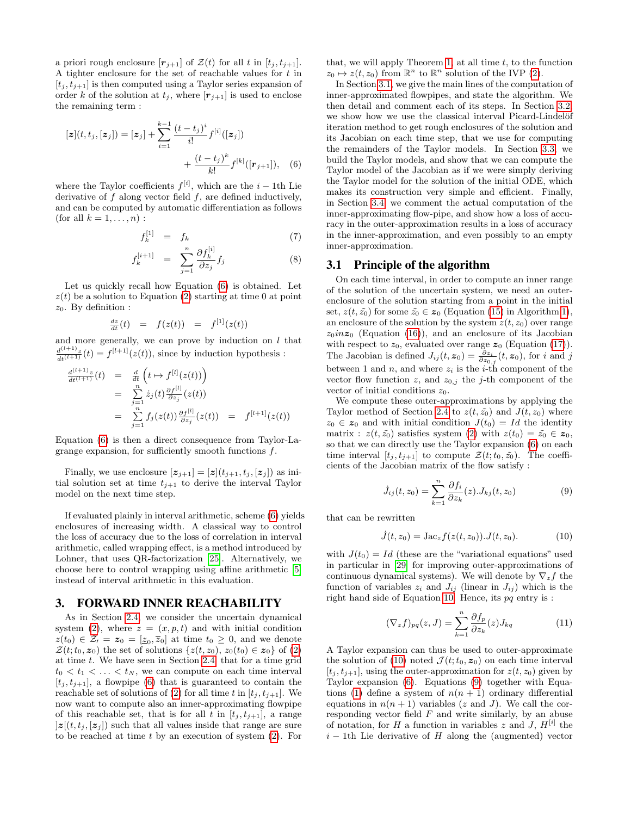a priori rough enclosure  $[r_{j+1}]$  of  $\mathcal{Z}(t)$  for all t in  $[t_j, t_{j+1}]$ . A tighter enclosure for the set of reachable values for t in  $[t_j, t_{j+1}]$  is then computed using a Taylor series expansion of order k of the solution at  $t_j$ , where  $[r_{j+1}]$  is used to enclose the remaining term :

$$
[\mathbf{z}](t, t_j, [\mathbf{z}_j]) = [\mathbf{z}_j] + \sum_{i=1}^{k-1} \frac{(t - t_j)^i}{i!} f^{[i]}([\mathbf{z}_j]) + \frac{(t - t_j)^k}{k!} f^{[k]}([\mathbf{r}_{j+1}]), \quad (6)
$$

where the Taylor coefficients  $f^{[i]}$ , which are the  $i-1$ th Lie derivative of  $f$  along vector field  $f$ , are defined inductively, and can be computed by automatic differentiation as follows (for all  $k = 1, \ldots, n$ ) :

$$
f_k^{[1]} = f_k \tag{7}
$$

$$
f_k^{[i+1]} = \sum_{j=1}^n \frac{\partial f_k^{[i]}}{\partial z_j} f_j \tag{8}
$$

Let us quickly recall how Equation [\(6\)](#page-3-1) is obtained. Let  $z(t)$  be a solution to Equation [\(2\)](#page-0-1) starting at time 0 at point  $z_0$ . By definition :

$$
\frac{dz}{dt}(t) = f(z(t)) = f^{[1]}(z(t))
$$

and more generally, we can prove by induction on  $l$  that  $\frac{d^{(l+1)}z}{dt^{(l+1)}}(t) = f^{[l+1]}(z(t)),$  since by induction hypothesis :

$$
\frac{d^{(l+1)}z}{dt^{(l+1)}}(t) = \frac{d}{dt} \left( t \mapsto f^{[l]}(z(t)) \right)
$$
  
\n
$$
= \sum_{j=1}^{n} \dot{z}_j(t) \frac{\partial f^{[l]}}{\partial z_j}(z(t))
$$
  
\n
$$
= \sum_{j=1}^{n} f_j(z(t)) \frac{\partial f^{[l]}}{\partial z_j}(z(t)) = f^{[l+1]}(z(t))
$$

Equation [\(6\)](#page-3-1) is then a direct consequence from Taylor-Lagrange expansion, for sufficiently smooth functions f.

Finally, we use enclosure  $[\mathbf{z}_{j+1}] = [\mathbf{z}](t_{j+1}, t_j, [\mathbf{z}_j])$  as initial solution set at time  $t_{i+1}$  to derive the interval Taylor model on the next time step.

If evaluated plainly in interval arithmetic, scheme [\(6\)](#page-3-1) yields enclosures of increasing width. A classical way to control the loss of accuracy due to the loss of correlation in interval arithmetic, called wrapping effect, is a method introduced by Lohner, that uses QR-factorization [\[25\]](#page-9-4). Alternatively, we choose here to control wrapping using affine arithmetic [\[5\]](#page-9-22) instead of interval arithmetic in this evaluation.

# <span id="page-3-0"></span>3. FORWARD INNER REACHABILITY

As in Section [2.4,](#page-2-0) we consider the uncertain dynamical system [\(2\)](#page-0-1), where  $z = (x, p, t)$  and with initial condition  $z(t_0) \in \mathcal{Z}_1 = \boldsymbol{z}_0 = [\underline{z}_0, \overline{z}_0]$  at time  $t_0 \geq 0$ , and we denote  $\mathcal{Z}(t;t_0,\mathbf{z}_0)$  the set of solutions  $\{z(t,z_0), z_0(t_0) \in \mathbf{z}_0\}$  of [\(2\)](#page-0-1) at time t. We have seen in Section [2.4,](#page-2-0) that for a time grid  $t_0 < t_1 < \ldots < t_N$ , we can compute on each time interval  $[t_i, t_{i+1}]$ , a flowpipe [\(6\)](#page-3-1) that is guaranteed to contain the reachable set of solutions of [\(2\)](#page-0-1) for all time t in  $[t_i, t_{i+1}]$ . We now want to compute also an inner-approximating flowpipe of this reachable set, that is for all t in  $[t_j, t_{j+1}]$ , a range  $|z|(t, t_j, [z_j])$  such that all values inside that range are sure to be reached at time  $t$  by an execution of system  $(2)$ . For

that, we will apply Theorem [1,](#page-2-6) at all time  $t$ , to the function  $z_0 \mapsto z(t, z_0)$  from  $\mathbb{R}^n$  to  $\mathbb{R}^n$  solution of the IVP [\(2\)](#page-0-1).

<span id="page-3-1"></span>In Section [3.1,](#page-3-2) we give the main lines of the computation of inner-approximated flowpipes, and state the algorithm. We then detail and comment each of its steps. In Section [3.2,](#page-4-0) we show how we use the classical interval Picard-Lindelöf iteration method to get rough enclosures of the solution and its Jacobian on each time step, that we use for computing the remainders of the Taylor models. In Section [3.3,](#page-4-1) we build the Taylor models, and show that we can compute the Taylor model of the Jacobian as if we were simply deriving the Taylor model for the solution of the initial ODE, which makes its construction very simple and efficient. Finally, in Section [3.4,](#page-6-0) we comment the actual computation of the inner-approximating flow-pipe, and show how a loss of accuracy in the outer-approximation results in a loss of accuracy in the inner-approximation, and even possibly to an empty inner-approximation.

## <span id="page-3-2"></span>3.1 Principle of the algorithm

On each time interval, in order to compute an inner range of the solution of the uncertain system, we need an outerenclosure of the solution starting from a point in the initial set,  $z(t, \tilde{z_0})$  for some  $\tilde{z_0} \in z_0$  (Equation [\(15\)](#page-4-2) in Algorithm [1\)](#page-4-3), an enclosure of the solution by the system  $z(t, z_0)$  over range  $z_0$ inz<sub>0</sub> (Equation [\(16\)](#page-4-4)), and an enclosure of its Jacobian with respect to  $z_0$ , evaluated over range  $z_0$  (Equation [\(17\)](#page-4-5)). The Jacobian is defined  $J_{ij}(t, z_0) = \frac{\partial z_i}{\partial z_{0,j}}(t, z_0)$ , for i and j between 1 and n, and where  $z_i$  is the i-th component of the vector flow function z, and  $z_{0,j}$  the j-th component of the vector of initial conditions  $z_0$ .

We compute these outer-approximations by applying the Taylor method of Section [2.4](#page-2-0) to  $z(t, \tilde{z_0})$  and  $J(t, z_0)$  where  $z_0 \in z_0$  and with initial condition  $J(t_0) = Id$  the identity matrix :  $z(t, \tilde{z_0})$  satisfies system [\(2\)](#page-0-1) with  $z(t_0) = \tilde{z_0} \in z_0$ , so that we can directly use the Taylor expansion [\(6\)](#page-3-1) on each time interval  $[t_j, t_{j+1}]$  to compute  $\mathcal{Z}(t; t_0, \tilde{z_0})$ . The coefficients of the Jacobian matrix of the flow satisfy :

<span id="page-3-4"></span>
$$
\dot{J}_{ij}(t,z_0) = \sum_{k=1}^{n} \frac{\partial f_i}{\partial z_k}(z) J_{kj}(t,z_0)
$$
\n(9)

that can be rewritten

<span id="page-3-3"></span>
$$
\dot{J}(t, z_0) = \text{Jac}_z f(z(t, z_0)). J(t, z_0). \tag{10}
$$

with  $J(t_0) = Id$  (these are the "variational equations" used in particular in [\[29\]](#page-9-23) for improving outer-approximations of continuous dynamical systems). We will denote by  $\nabla_z f$  the function of variables  $z_i$  and  $J_{ij}$  (linear in  $J_{ij}$ ) which is the right hand side of Equation [10.](#page-3-3) Hence, its  $pq$  entry is :

<span id="page-3-5"></span>
$$
(\nabla_z f)_{pq}(z,J) = \sum_{k=1}^n \frac{\partial f_p}{\partial z_k}(z) J_{kq}
$$
 (11)

A Taylor expansion can thus be used to outer-approximate the solution of [\(10\)](#page-3-3) noted  $\mathcal{J}(t;t_0,\boldsymbol{z}_0)$  on each time interval  $[t_j, t_{j+1}]$ , using the outer-approximation for  $z(t, z_0)$  given by Taylor expansion [\(6\)](#page-3-1). Equations [\(9\)](#page-3-4) together with Equa-tions [\(1\)](#page-0-0) define a system of  $n(n + 1)$  ordinary differential equations in  $n(n + 1)$  variables (z and J). We call the corresponding vector field  $F$  and write similarly, by an abuse of notation, for H a function in variables z and J,  $H^{[i]}$  the  $i - 1$ th Lie derivative of H along the (augmented) vector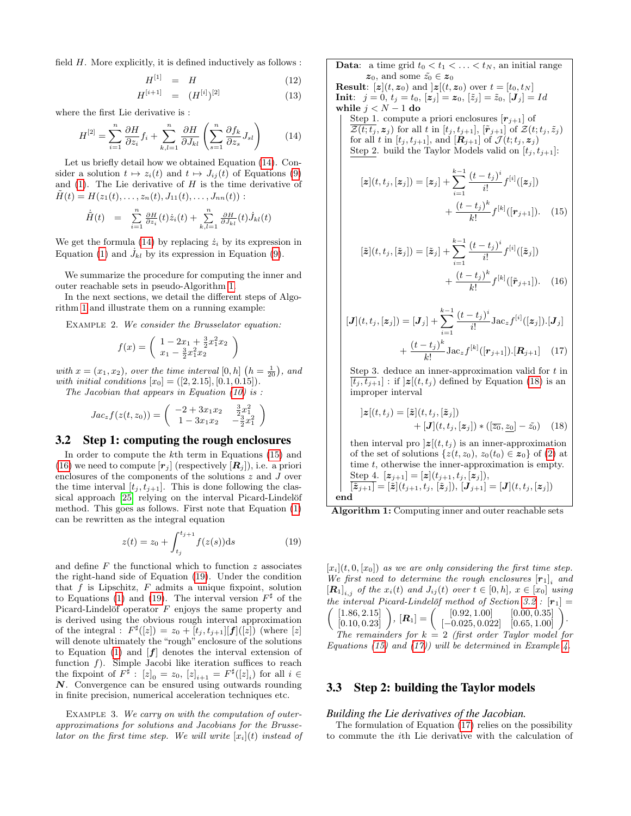field  $H$ . More explicitly, it is defined inductively as follows :

$$
H^{[1]} = H \tag{12}
$$

$$
H^{[i+1]} = (H^{[i]})^{[2]} \tag{13}
$$

where the first Lie derivative is :

<span id="page-4-6"></span>
$$
H^{[2]} = \sum_{i=1}^{n} \frac{\partial H}{\partial z_i} f_i + \sum_{k,l=1}^{n} \frac{\partial H}{\partial J_{kl}} \left( \sum_{s=1}^{n} \frac{\partial f_k}{\partial z_s} J_{sl} \right) \tag{14}
$$

Let us briefly detail how we obtained Equation [\(14\)](#page-4-6). Consider a solution  $t \mapsto z_i(t)$  and  $t \mapsto J_{ij}(t)$  of Equations [\(9\)](#page-3-4) and  $(1)$ . The Lie derivative of H is the time derivative of  $H(t) = H(z_1(t), \ldots, z_n(t), J_{11}(t), \ldots, J_{nn}(t))$ :

$$
\dot{\tilde{H}}(t) = \sum_{i=1}^{n} \frac{\partial H}{\partial z_i}(t) \dot{z}_i(t) + \sum_{k,l=1}^{n} \frac{\partial H}{\partial J_{kl}}(t) \dot{J}_{kl}(t)
$$

We get the formula [\(14\)](#page-4-6) by replacing  $\dot{z}_i$  by its expression in Equation [\(1\)](#page-0-0) and  $\dot{J}_{kl}$  by its expression in Equation [\(9\)](#page-3-4).

We summarize the procedure for computing the inner and outer reachable sets in pseudo-Algorithm [1.](#page-4-3)

In the next sections, we detail the different steps of Algorithm [1](#page-4-3) and illustrate them on a running example:

EXAMPLE 2. We consider the Brusselator equation:

$$
f(x) = \begin{pmatrix} 1 - 2x_1 + \frac{3}{2}x_1^2x_2 \\ x_1 - \frac{3}{2}x_1^2x_2 \end{pmatrix}
$$

with  $x = (x_1, x_2)$ , over the time interval  $[0, h]$   $(h = \frac{1}{20})$ , and with initial conditions  $[x_0] = ([2, 2.15], [0.1, 0.15]).$ 

The Jacobian that appears in Equation  $(10)$  is :

$$
Jac_z f(z(t,z_0)) = \begin{pmatrix} -2 + 3x_1x_2 & \frac{3}{2}x_1^2\\ 1 - 3x_1x_2 & -\frac{3}{2}x_1^2 \end{pmatrix}
$$

# <span id="page-4-0"></span>3.2 Step 1: computing the rough enclosures

In order to compute the  $k$ <sup>th</sup> term in Equations  $(15)$  and [\(16\)](#page-4-4) we need to compute  $[r_i]$  (respectively  $[R_i]$ ), i.e. a priori enclosures of the components of the solutions z and J over the time interval  $[t_j, t_{j+1}]$ . This is done following the clas-sical approach [\[25\]](#page-9-4) relying on the interval Picard-Lindelöf method. This goes as follows. First note that Equation [\(1\)](#page-0-0) can be rewritten as the integral equation

<span id="page-4-7"></span>
$$
z(t) = z_0 + \int_{t_j}^{t_{j+1}} f(z(s))ds
$$
 (19)

and define  $F$  the functional which to function  $z$  associates the right-hand side of Equation [\(19\)](#page-4-7). Under the condition that  $f$  is Lipschitz,  $F$  admits a unique fixpoint, solution to Equations [\(1\)](#page-0-0) and [\(19\)](#page-4-7). The interval version  $F^{\sharp}$  of the Picard-Lindelöf operator  $F$  enjoys the same property and is derived using the obvious rough interval approximation of the integral :  $F^{\sharp}([z]) = z_0 + [t_j, t_{j+1}][f]([z])$  (where [z] will denote ultimately the "rough" enclosure of the solutions to Equation [\(1\)](#page-0-0) and  $[f]$  denotes the interval extension of function  $f$ ). Simple Jacobi like iteration suffices to reach the fixpoint of  $F^{\sharp}$ :  $[z]_0 = z_0$ ,  $[z]_{i+1} = F^{\sharp}([z]_i)$  for all  $i \in$ N. Convergence can be ensured using outwards rounding in finite precision, numerical acceleration techniques etc.

<span id="page-4-10"></span>EXAMPLE 3. We carry on with the computation of outerapproximations for solutions and Jacobians for the Brusselator on the first time step. We will write  $[x_i](t)$  instead of **Data:** a time grid  $t_0 < t_1 < \ldots < t_N$ , an initial range  $z_0$ , and some  $\tilde{z_0} \in z_0$ **Result:**  $[\boldsymbol{z}](t, \boldsymbol{z}_0)$  and  $]\boldsymbol{z}[(t, \boldsymbol{z}_0)$  over  $t = [t_0, t_N]$ **Init**:  $j = 0, t_j = t_0, [z_j] = z_0, [\tilde{z}_j] = \tilde{z}_0, [J_j] = Id$ while  $j < N - 1$  do Step 1. compute a priori enclosures  $[r_{j+1}]$  of  $\overline{\mathcal{Z}(t;t_j},\boldsymbol{z}_j)$  for all t in  $[t_j,t_{j+1}],$   $[\tilde{\boldsymbol{r}}_{j+1}]$  of  $\mathcal{Z}(t;t_j,\tilde{z}_j)$ for all t in  $[t_j, t_{j+1}]$ , and  $[\mathbf{R}_{j+1}]$  of  $\mathcal{J}(t; t_j, z_j)$ Step 2. build the Taylor Models valid on  $[t_i, t_{i+1}]$ :

<span id="page-4-2"></span>
$$
[\mathbf{z}](t, t_j, [\mathbf{z}_j]) = [\mathbf{z}_j] + \sum_{i=1}^{k-1} \frac{(t - t_j)^i}{i!} f^{[i]}([\mathbf{z}_j]) + \frac{(t - t_j)^k}{k!} f^{[k]}([\mathbf{r}_{j+1}]). \quad (15)
$$

<span id="page-4-4"></span>
$$
[\tilde{z}](t, t_j, [\tilde{z}_j]) = [\tilde{z}_j] + \sum_{i=1}^{k-1} \frac{(t - t_j)^i}{i!} f^{[i]}([\tilde{z}_j]) + \frac{(t - t_j)^k}{k!} f^{[k]}([\tilde{r}_{j+1}]).
$$
 (16)

<span id="page-4-9"></span>
$$
[\mathbf{J}](t, t_j, [\mathbf{z}_j]) = [\mathbf{J}_j] + \sum_{i=1}^{k-1} \frac{(t - t_j)^i}{i!} \text{Jac}_z f^{[i]}([\mathbf{z}_j]) \cdot [\mathbf{J}_j] + \frac{(t - t_j)^k}{k!} \text{Jac}_z f^{[k]}([\mathbf{r}_{j+1}]) \cdot [\mathbf{R}_{j+1}] \quad (17)
$$

Step 3. deduce an inner-approximation valid for  $t$  in  $[t_j, t_{j+1}]$ : if  $\vert \mathbf{z} \vert (t, t_j)$  defined by Equation [\(18\)](#page-4-8) is an improper interval

<span id="page-4-8"></span><span id="page-4-5"></span>
$$
]z[(t, t_j) = [\tilde{z}](t, t_j, [\tilde{z}_j])+ [J](t, t_j, [z_j]) * ([\overline{z_0}, \underline{z_0}] - \tilde{z_0}) \quad (18)
$$

then interval pro  $|z|(t, t_i)$  is an inner-approximation of the set of solutions  $\{z(t, z_0), z_0(t_0) \in z_0\}$  of [\(2\)](#page-0-1) at time t, otherwise the inner-approximation is empty. Step 4.  $[z_{j+1}] = [z](t_{j+1}, t_j, [z_j]),$  $\overline{[\tilde{\pmb{z}}_{j+1}]} = [\tilde{\pmb{z}}](t_{j+1}, t_j, \, [\tilde{\pmb{z}}_j]), \, [\pmb{J}_{j+1}] = [\pmb{J}](t, t_j, [\pmb{z}_j])$ end

<span id="page-4-3"></span>

 $[x_i](t, 0, [x_0])$  as we are only considering the first time step. We first need to determine the rough enclosures  $[r_1]_i$  and  $\left[\mathbf{R}_1\right]_{i,j}$  of the  $x_i(t)$  and  $J_{ij}(t)$  over  $t \in [0,h]$ ,  $x \in [x_0]$  using the interval Picard-Lindelöf method of Section [3.2](#page-4-0) :  $[\mathbf{r}_1] =$  $\sqrt{2}$ [1.86, 2.15] [0.10, <sup>0</sup>.23]  $\boldsymbol{R}_1 = \begin{pmatrix} [0.92, 1.00] & [0.00, 0.35] \ [-0.025, 0.022] & [0.65, 1.00] \end{pmatrix}.$ The remainders for  $k = 2$  (first order Taylor model for Equations [\(15\)](#page-4-2) and [\(17\)](#page-4-5)) will be determined in Example [4.](#page-5-0)

### 3.3 Step 2: building the Taylor models

#### <span id="page-4-1"></span>*Building the Lie derivatives of the Jacobian.*

The formulation of Equation [\(17\)](#page-4-5) relies on the possibility to commute the ith Lie derivative with the calculation of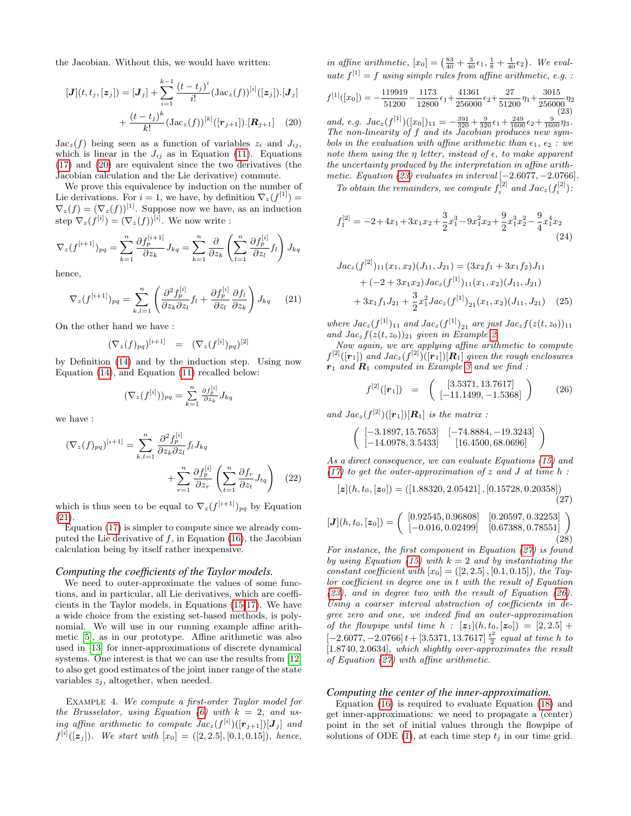the Jacobian. Without this, we would have written:

$$
[\mathbf{J}](t, t_j, [\mathbf{z}_j]) = [\mathbf{J}_j] + \sum_{i=1}^{k-1} \frac{(t - t_j)^i}{i!} (\text{Jac}_z(f))^{[i]}([\mathbf{z}_j]) \cdot [\mathbf{J}_j]
$$

$$
+ \frac{(t - t_j)^k}{k!} (\text{Jac}_z(f))^{[k]}([\mathbf{r}_{j+1}]) \cdot [\mathbf{R}_{j+1}] \quad (20)
$$

 $Jac_z(f)$  being seen as a function of variables  $z_i$  and  $J_{ij}$ , which is linear in the  $J_{ij}$  as in Equation [\(11\)](#page-3-5). Equations [\(17\)](#page-4-5) and [\(20\)](#page-5-1) are equivalent since the two derivatives (the Jacobian calculation and the Lie derivative) commute.

We prove this equivalence by induction on the number of Lie derivations. For  $i = 1$ , we have, by definition  $\nabla_z(f^{[1]}) =$  $\nabla_z(f) = (\nabla_z(f))^{[1]}$ . Suppose now we have, as an induction step  $\nabla_z(f^{[i]}) = (\nabla_z(f))^{[i]}$ . We now write :

$$
\nabla_z (f^{[i+1]})_{pq} = \sum_{k=1}^n \frac{\partial f_p^{[i+1]}}{\partial z_k} J_{kq} = \sum_{k=1}^n \frac{\partial}{\partial z_k} \left( \sum_{l=1}^n \frac{\partial f_p^{[i]}}{\partial z_l} f_l \right) J_{kq}
$$

hence,

<span id="page-5-2"></span>
$$
\nabla_z (f^{[i+1]})_{pq} = \sum_{k,l=1}^n \left( \frac{\partial^2 f_p^{[i]}}{\partial z_k \partial z_l} f_l + \frac{\partial f_p^{[i]}}{\partial z_l} \frac{\partial f_l}{\partial z_k} \right) J_{kq} \qquad (21)
$$

On the other hand we have :

$$
(\nabla_z(f)_{pq})^{[i+1]} = (\nabla_z(f^{[i]})_{pq})^{[2]}
$$

by Definition [\(14\)](#page-4-6) and by the induction step. Using now Equation [\(14\)](#page-4-6), and Equation [\(11\)](#page-3-5) recalled below:

$$
(\nabla_z(f^{[i]}))_{pq} = \sum_{k=1}^n \frac{\partial f^{[i]}_p}{\partial z_k} J_{kq}
$$

we have :

$$
(\nabla_z(f)_{pq})^{[i+1]} = \sum_{k,l=1}^n \frac{\partial^2 f_p^{[i]}}{\partial z_k \partial z_l} f_l J_{kq}
$$

$$
+ \sum_{r=1}^n \frac{\partial f_p^{[i]}}{\partial z_r} \left( \sum_{t=1}^n \frac{\partial f_r}{\partial z_t} J_{tq} \right) (22)
$$

which is thus seen to be equal to  $\nabla_z(f^{[i+1]})_{pq}$  by Equation [\(21\)](#page-5-2).

Equation [\(17\)](#page-4-5) is simpler to compute since we already computed the Lie derivative of  $f$ , in Equation [\(16\)](#page-4-4), the Jacobian calculation being by itself rather inexpensive.

#### *Computing the coefficients of the Taylor models.*

We need to outer-approximate the values of some functions, and in particular, all Lie derivatives, which are coefficients in the Taylor models, in Equations [\(15-](#page-4-2)[17\)](#page-4-5). We have a wide choice from the existing set-based methods, is polynomial. We will use in our running example affine arithmetic [\[5\]](#page-9-22), as in our prototype. Affine arithmetic was also used in [\[13\]](#page-9-0) for inner-approximations of discrete dynamical systems. One interest is that we can use the results from [\[12\]](#page-9-24) to also get good estimates of the joint inner range of the state variables  $z_j$ , altogether, when needed.

<span id="page-5-0"></span>Example 4. We compute a first-order Taylor model for the Brusselator, using Equation [\(6\)](#page-3-1) with  $k = 2$ , and using affine arithmetic to compute  $Jac_z(f^{[i]})([\mathbf{r}_{j+1}])[\mathbf{J}_j]$  and  $f^{[i]}([z_j])$ . We start with  $[x_0] = ([2, 2.5], [0.1, 0.15])$ , hence,

in affine arithmetic,  $[x_0] = \left(\frac{83}{40} + \frac{3}{40}\epsilon_1, \frac{1}{8} + \frac{1}{40}\epsilon_2\right)$ . We evaluate  $f^{[1]} = f$  using simple rules from affine arithmetic, e.g. :

<span id="page-5-3"></span>
$$
f^{[1]}([x_0]) = -\frac{119919}{51200} - \frac{1173}{12800} \epsilon_1 + \frac{41361}{256000} \epsilon_2 + \frac{27}{51200} \eta_1 + \frac{3015}{256000} \eta_2
$$
\n(23)

<span id="page-5-1"></span>and, e.g.  $Jac_z(f^{[1]})([x_0])_{11} = -\frac{391}{320} + \frac{9}{320}\epsilon_1 + \frac{249}{1600}\epsilon_2 + \frac{9}{1600}\eta_3$ . The non-linearity of f and its Jacobian produces new symbols in the evaluation with affine arithmetic than  $\epsilon_1, \epsilon_2$ : we note them using the  $\eta$  letter, instead of  $\epsilon$ , to make apparent the uncertainty produced by the interpretation in affine arithmetic. Equation  $(23)$  evaluates in interval  $[-2.6077, -2.0766]$ .

To obtain the remainders, we compute  $f_i^{[2]}$  and  $Jac_z(f_i^{[2]})$ :

$$
f_1^{[2]} = -2 + 4x_1 + 3x_1x_2 + \frac{3}{2}x_1^3 - 9x_1^2x_2 + \frac{9}{2}x_1^3x_2^2 - \frac{9}{4}x_1^4x_2
$$
\n(24)

$$
Jac_z(f^{[2]})_{11}(x_1, x_2)(J_{11}, J_{21}) = (3x_2f_1 + 3x_1f_2)J_{11}
$$
  
+  $(-2 + 3x_1x_2)Jac_z(f^{[1]})_{11}(x_1, x_2)(J_{11}, J_{21})$   
+  $3x_1f_1J_{21} + \frac{3}{2}x_1^2Jac_z(f^{[1]})_{21}(x_1, x_2)(J_{11}, J_{21})$  (25)

where  $Jac_z(f^{[1]})_{11}$  and  $Jac_z(f^{[1]})_{21}$  are just  $Jac_z f(z(t, z_0))_{11}$ and  $Jac_z f(z(t, z_0))_{21}$  given in Example [2.](#page-4-9)

Now again, we are applying affine arithmetic to compute  $f^{[2]}([{\bm r}_1])$  and  $Jac_z(f^{[2]})([{\bm r}_1])[{\bm R}_1]$  given the rough enclosures  $r_1$  and  $R_1$  computed in Example [3](#page-4-10) and we find :

<span id="page-5-5"></span>
$$
f^{[2]}([r_1]) = \left( \begin{array}{c} [3.5371, 13.7617] \\ [-11.1499, -1.5368] \end{array} \right) \tag{26}
$$

and  $Jac_z(f^{[2]})([\mathbf{r}_1])[\mathbf{R}_1]$  is the matrix :

$$
\left(\begin{array}{cc}[-3.1897,15.7653] & [-74.8884,-19.3243] \\ [-14.0978,3.5433] & [16.4500,68.0696]\end{array}\right)
$$

As a direct consequence, we can evaluate Equations [\(15\)](#page-4-2) and  $(17)$  to get the outer-approximation of z and J at time h:

<span id="page-5-4"></span>
$$
[\boldsymbol{z}](h, t_0, [\boldsymbol{z}_0]) = ([1.88320, 2.05421], [0.15728, 0.20358])
$$
\n(27)

<span id="page-5-6"></span>
$$
[\mathbf{J}](h, t_0, [\mathbf{z}_0]) = \begin{pmatrix} [0.92545, 0.96808] & [0.20597, 0.32253] \\ [-0.016, 0.02499] & [0.67388, 0.78551] \end{pmatrix}
$$
(28)

For instance, the first component in Equation [\(27\)](#page-5-4) is found by using Equation [\(15\)](#page-4-2) with  $k = 2$  and by instantiating the constant coefficient with  $[x_0] = ([2, 2.5], [0.1, 0.15]),$  the Taylor coefficient in degree one in t with the result of Equation [\(23\)](#page-5-3), and in degree two with the result of Equation [\(26\)](#page-5-5). Using a coarser interval abstraction of coefficients in degree zero and one, we indeed find an outer-approximation of the flowpipe until time  $h : [z_1](h, t_0, [z_0]) = [2, 2.5] +$  $[-2.6077, -2.0766] t + [3.5371, 13.7617] \frac{t^2}{2}$  $\frac{1}{2}$  equal at time h to [1.8740, 2.0634], which slightly over-approximates the result of Equation [\(27\)](#page-5-4) with affine arithmetic.

#### *Computing the center of the inner-approximation.*

Equation [\(16\)](#page-4-4) is required to evaluate Equation [\(18\)](#page-4-8) and get inner-approximations: we need to propagate a (center) point in the set of initial values through the flowpipe of solutions of ODE [\(1\)](#page-0-0), at each time step  $t_j$  in our time grid.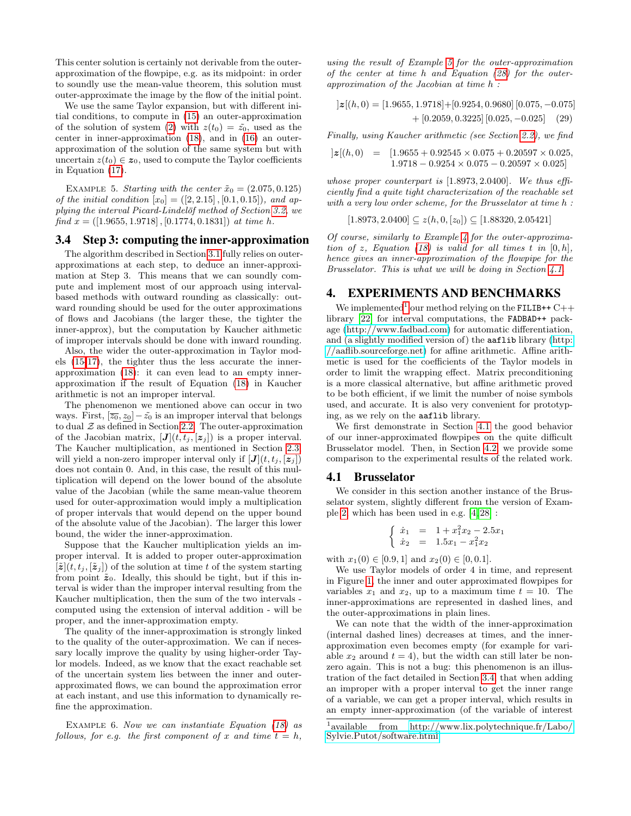This center solution is certainly not derivable from the outerapproximation of the flowpipe, e.g. as its midpoint: in order to soundly use the mean-value theorem, this solution must outer-approximate the image by the flow of the initial point.

We use the same Taylor expansion, but with different initial conditions, to compute in [\(15\)](#page-4-2) an outer-approximation of the solution of system [\(2\)](#page-0-1) with  $z(t_0) = \tilde{z_0}$ , used as the center in inner-approximation [\(18\)](#page-4-8), and in [\(16\)](#page-4-4) an outerapproximation of the solution of the same system but with uncertain  $z(t_0) \in z_0$ , used to compute the Taylor coefficients in Equation [\(17\)](#page-4-5).

<span id="page-6-1"></span>EXAMPLE 5. Starting with the center  $\tilde{x}_0 = (2.075, 0.125)$ of the initial condition  $[x_0] = ([2, 2.15], [0.1, 0.15]),$  and ap-plying the interval Picard-Lindelöf method of Section [3.2,](#page-4-0) we find  $x = (1.9655, 1.9718, 0.1774, 0.1831)$  at time h.

# <span id="page-6-0"></span>3.4 Step 3: computing the inner-approximation

The algorithm described in Section [3.1](#page-3-2) fully relies on outerapproximations at each step, to deduce an inner-approximation at Step 3. This means that we can soundly compute and implement most of our approach using intervalbased methods with outward rounding as classically: outward rounding should be used for the outer approximations of flows and Jacobians (the larger these, the tighter the inner-approx), but the computation by Kaucher aithmetic of improper intervals should be done with inward rounding.

Also, the wider the outer-approximation in Taylor models [\(15-](#page-4-2)[17\)](#page-4-5), the tighter thus the less accurate the innerapproximation [\(18\)](#page-4-8): it can even lead to an empty innerapproximation if the result of Equation [\(18\)](#page-4-8) in Kaucher arithmetic is not an improper interval.

The phenomenon we mentioned above can occur in two ways. First,  $[\overline{z_0}, z_0] - \tilde{z_0}$  is an improper interval that belongs to dual  $Z$  as defined in Section [2.2.](#page-1-1) The outer-approximation of the Jacobian matrix,  $[J](t, t_j, [z_j])$  is a proper interval. The Kaucher multiplication, as mentioned in Section [2.3,](#page-2-1) will yield a non-zero improper interval only if  $[J](t, t_j, \{z_j\})$ does not contain 0. And, in this case, the result of this multiplication will depend on the lower bound of the absolute value of the Jacobian (while the same mean-value theorem used for outer-approximation would imply a multiplication of proper intervals that would depend on the upper bound of the absolute value of the Jacobian). The larger this lower bound, the wider the inner-approximation.

Suppose that the Kaucher multiplication yields an improper interval. It is added to proper outer-approximation  $[\tilde{\mathbf{z}}](t, t_j, [\tilde{\mathbf{z}}_j])$  of the solution at time t of the system starting from point  $\tilde{\mathbf{z}}_0$ . Ideally, this should be tight, but if this interval is wider than the improper interval resulting from the Kaucher multiplication, then the sum of the two intervals computed using the extension of interval addition - will be proper, and the inner-approximation empty.

The quality of the inner-approximation is strongly linked to the quality of the outer-approximation. We can if necessary locally improve the quality by using higher-order Taylor models. Indeed, as we know that the exact reachable set of the uncertain system lies between the inner and outerapproximated flows, we can bound the approximation error at each instant, and use this information to dynamically refine the approximation.

Example 6. Now we can instantiate Equation [\(18\)](#page-4-8) as follows, for e.g. the first component of x and time  $t = h$ ,

using the result of Example [5](#page-6-1) for the outer-approximation of the center at time h and Equation [\(28\)](#page-5-6) for the outerapproximation of the Jacobian at time h :

$$
]z[(h,0) = [1.9655, 1.9718] + [0.9254, 0.9680] [0.075, -0.075] + [0.2059, 0.3225] [0.025, -0.025] (29)
$$

Finally, using Kaucher arithmetic (see Section [2.2\)](#page-1-1), we find

$$
|z[(h,0) = [1.9655 + 0.92545 \times 0.075 + 0.20597 \times 0.025,1.9718 - 0.9254 \times 0.075 - 0.20597 \times 0.025]
$$

whose proper counterpart is [1.8973, 2.0400]. We thus efficiently find a quite tight characterization of the reachable set with a very low order scheme, for the Brusselator at time h :

$$
[1.8973, 2.0400] \subseteq z(h, 0, [z_0]) \subseteq [1.88320, 2.05421]
$$

Of course, similarly to Example [4](#page-5-0) for the outer-approxima-tion of z, Equation [\(18\)](#page-4-8) is valid for all times  $t$  in  $[0, h]$ , hence gives an inner-approximation of the flowpipe for the Brusselator. This is what we will be doing in Section [4.1.](#page-6-2)

## 4. EXPERIMENTS AND BENCHMARKS

We implemented<sup>[1](#page-6-3)</sup> our method relying on the FILIB++  $C++$ library [\[22\]](#page-9-25) for interval computations, the FADBAD++ package [\(http://www.fadbad.com\)](http://www.fadbad.com) for automatic differentiation, and (a slightly modified version of) the aaflib library [\(http:](http://aaflib.sourceforge.net) [//aaflib.sourceforge.net\)](http://aaflib.sourceforge.net) for affine arithmetic. Affine arithmetic is used for the coefficients of the Taylor models in order to limit the wrapping effect. Matrix preconditioning is a more classical alternative, but affine arithmetic proved to be both efficient, if we limit the number of noise symbols used, and accurate. It is also very convenient for prototyping, as we rely on the aaflib library.

We first demonstrate in Section [4.1](#page-6-2) the good behavior of our inner-approximated flowpipes on the quite difficult Brusselator model. Then, in Section [4.2,](#page-7-0) we provide some comparison to the experimental results of the related work.

#### <span id="page-6-2"></span>4.1 Brusselator

We consider in this section another instance of the Brusselator system, slightly different from the version of Example [2,](#page-4-9) which has been used in e.g. [\[4,](#page-9-16) [28\]](#page-9-17) :

$$
\begin{cases}\n\dot{x}_1 = 1 + x_1^2 x_2 - 2.5x_1 \\
\dot{x}_2 = 1.5x_1 - x_1^2 x_2\n\end{cases}
$$

with  $x_1(0) \in [0.9, 1]$  and  $x_2(0) \in [0, 0.1]$ .

We use Taylor models of order 4 in time, and represent in Figure [1,](#page-7-1) the inner and outer approximated flowpipes for variables  $x_1$  and  $x_2$ , up to a maximum time  $t = 10$ . The inner-approximations are represented in dashed lines, and the outer-approximations in plain lines.

We can note that the width of the inner-approximation (internal dashed lines) decreases at times, and the innerapproximation even becomes empty (for example for variable  $x_2$  around  $t = 4$ ), but the width can still later be nonzero again. This is not a bug: this phenomenon is an illustration of the fact detailed in Section [3.4,](#page-6-0) that when adding an improper with a proper interval to get the inner range of a variable, we can get a proper interval, which results in an empty inner-approximation (of the variable of interest

<span id="page-6-3"></span><sup>&</sup>lt;sup>1</sup>available from [http://www.lix.polytechnique.fr/Labo/](http://www.lix.polytechnique.fr/Labo/Sylvie.Putot/software.html) [Sylvie.Putot/software.html](http://www.lix.polytechnique.fr/Labo/Sylvie.Putot/software.html)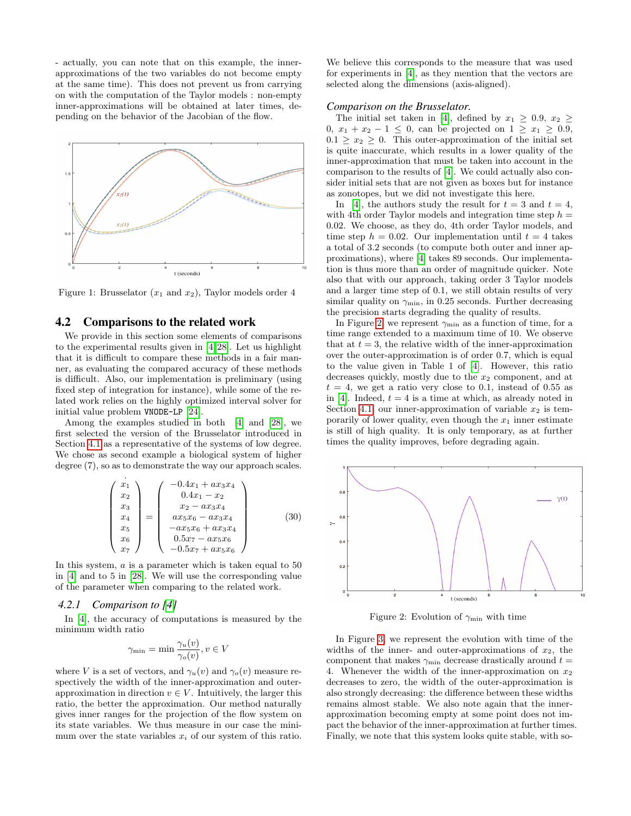- actually, you can note that on this example, the innerapproximations of the two variables do not become empty at the same time). This does not prevent us from carrying on with the computation of the Taylor models : non-empty inner-approximations will be obtained at later times, depending on the behavior of the Jacobian of the flow.

<span id="page-7-1"></span>

Figure 1: Brusselator  $(x_1 \text{ and } x_2)$ , Taylor models order 4

# <span id="page-7-0"></span>4.2 Comparisons to the related work

We provide in this section some elements of comparisons to the experimental results given in [\[4,](#page-9-16) [28\]](#page-9-17). Let us highlight that it is difficult to compare these methods in a fair manner, as evaluating the compared accuracy of these methods is difficult. Also, our implementation is preliminary (using fixed step of integration for instance), while some of the related work relies on the highly optimized interval solver for initial value problem VNODE-LP [\[24\]](#page-9-12).

Among the examples studied in both [\[4\]](#page-9-16) and [\[28\]](#page-9-17), we first selected the version of the Brusselator introduced in Section [4.1](#page-6-2) as a representative of the systems of low degree. We chose as second example a biological system of higher degree (7), so as to demonstrate the way our approach scales.

$$
\begin{pmatrix}\n\dot{x}_1 \\
x_2 \\
x_3 \\
x_4 \\
x_5 \\
x_6 \\
x_7\n\end{pmatrix} = \begin{pmatrix}\n-0.4x_1 + ax_3x_4 \\
0.4x_1 - x_2 \\
x_2 - ax_3x_4 \\
ax_5x_6 - ax_3x_4 \\
-ax_5x_6 + ax_3x_4 \\
0.5x_7 - ax_5x_6 \\
-0.5x_7 + ax_5x_6\n\end{pmatrix}
$$
\n(30)

In this system, a is a parameter which is taken equal to 50 in [\[4\]](#page-9-16) and to 5 in [\[28\]](#page-9-17). We will use the corresponding value of the parameter when comparing to the related work.

## *4.2.1 Comparison to [\[4\]](#page-9-16)*

In [\[4\]](#page-9-16), the accuracy of computations is measured by the minimum width ratio

$$
\gamma_{\min} = \min \frac{\gamma_u(v)}{\gamma_o(v)}, v \in V
$$

where V is a set of vectors, and  $\gamma_u(v)$  and  $\gamma_o(v)$  measure respectively the width of the inner-approximation and outerapproximation in direction  $v \in V$ . Intuitively, the larger this ratio, the better the approximation. Our method naturally gives inner ranges for the projection of the flow system on its state variables. We thus measure in our case the minimum over the state variables  $x_i$  of our system of this ratio.

We believe this corresponds to the measure that was used for experiments in [\[4\]](#page-9-16), as they mention that the vectors are selected along the dimensions (axis-aligned).

#### *Comparison on the Brusselator.*

The initial set taken in [\[4\]](#page-9-16), defined by  $x_1 \geq 0.9$ ,  $x_2 \geq$ 0,  $x_1 + x_2 - 1 \le 0$ , can be projected on  $1 \ge x_1 \ge 0.9$ ,  $0.1 \geq x_2 \geq 0$ . This outer-approximation of the initial set is quite inaccurate, which results in a lower quality of the inner-approximation that must be taken into account in the comparison to the results of [\[4\]](#page-9-16). We could actually also consider initial sets that are not given as boxes but for instance as zonotopes, but we did not investigate this here.

In [\[4\]](#page-9-16), the authors study the result for  $t = 3$  and  $t = 4$ , with 4th order Taylor models and integration time step  $h =$ 0.02. We choose, as they do, 4th order Taylor models, and time step  $h = 0.02$ . Our implementation until  $t = 4$  takes a total of 3.2 seconds (to compute both outer and inner approximations), where [\[4\]](#page-9-16) takes 89 seconds. Our implementation is thus more than an order of magnitude quicker. Note also that with our approach, taking order 3 Taylor models and a larger time step of 0.1, we still obtain results of very similar quality on  $\gamma_{\text{min}}$ , in 0.25 seconds. Further decreasing the precision starts degrading the quality of results.

In Figure [2,](#page-7-2) we represent  $\gamma_{\text{min}}$  as a function of time, for a time range extended to a maximum time of 10. We observe that at  $t = 3$ , the relative width of the inner-approximation over the outer-approximation is of order 0.7, which is equal to the value given in Table 1 of [\[4\]](#page-9-16). However, this ratio decreases quickly, mostly due to the  $x_2$  component, and at  $t = 4$ , we get a ratio very close to 0.1, instead of 0.55 as in [\[4\]](#page-9-16). Indeed,  $t = 4$  is a time at which, as already noted in Section [4.1,](#page-6-2) our inner-approximation of variable  $x_2$  is temporarily of lower quality, even though the  $x_1$  inner estimate is still of high quality. It is only temporary, as at further times the quality improves, before degrading again.

<span id="page-7-2"></span>

Figure 2: Evolution of  $\gamma_{\min}$  with time

In Figure [3,](#page-8-0) we represent the evolution with time of the widths of the inner- and outer-approximations of  $x_2$ , the component that makes  $\gamma_{\text{min}}$  decrease drastically around  $t =$ 4. Whenever the width of the inner-approximation on  $x_2$ decreases to zero, the width of the outer-approximation is also strongly decreasing: the difference between these widths remains almost stable. We also note again that the innerapproximation becoming empty at some point does not impact the behavior of the inner-approximation at further times. Finally, we note that this system looks quite stable, with so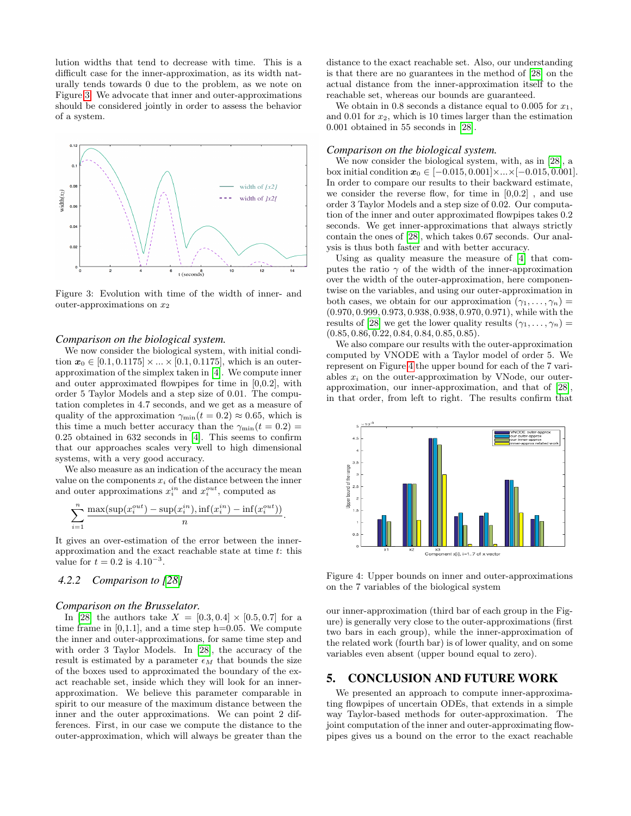lution widths that tend to decrease with time. This is a difficult case for the inner-approximation, as its width naturally tends towards 0 due to the problem, as we note on Figure [3.](#page-8-0) We advocate that inner and outer-approximations should be considered jointly in order to assess the behavior of a system.

<span id="page-8-0"></span>

Figure 3: Evolution with time of the width of inner- and outer-approximations on  $x_2$ 

#### *Comparison on the biological system.*

We now consider the biological system, with initial condition  $x_0 \in [0.1, 0.1175] \times ... \times [0.1, 0.1175]$ , which is an outerapproximation of the simplex taken in [\[4\]](#page-9-16). We compute inner and outer approximated flowpipes for time in [0,0.2], with order 5 Taylor Models and a step size of 0.01. The computation completes in 4.7 seconds, and we get as a measure of quality of the approximation  $\gamma_{\text{min}}(t = 0.2) \approx 0.65$ , which is this time a much better accuracy than the  $\gamma_{\text{min}}(t = 0.2)$ 0.25 obtained in 632 seconds in [\[4\]](#page-9-16). This seems to confirm that our approaches scales very well to high dimensional systems, with a very good accuracy.

We also measure as an indication of the accuracy the mean value on the components  $x_i$  of the distance between the inner and outer approximations  $x_i^{in}$  and  $x_i^{out}$ , computed as

$$
\sum_{i=1}^n \frac{\max(\sup(x_i^{out}) - \sup(x_i^{in}), \inf(x_i^{in}) - \inf(x_i^{out}))}{n}.
$$

It gives an over-estimation of the error between the innerapproximation and the exact reachable state at time t: this value for  $t = 0.2$  is  $4.10^{-3}$ .

# *4.2.2 Comparison to [\[28\]](#page-9-17)*

#### *Comparison on the Brusselator.*

In [\[28\]](#page-9-17) the authors take  $X = [0.3, 0.4] \times [0.5, 0.7]$  for a time frame in  $[0,1.1]$ , and a time step h=0.05. We compute the inner and outer-approximations, for same time step and with order 3 Taylor Models. In [\[28\]](#page-9-17), the accuracy of the result is estimated by a parameter  $\epsilon_M$  that bounds the size of the boxes used to approximated the boundary of the exact reachable set, inside which they will look for an innerapproximation. We believe this parameter comparable in spirit to our measure of the maximum distance between the inner and the outer approximations. We can point 2 differences. First, in our case we compute the distance to the outer-approximation, which will always be greater than the distance to the exact reachable set. Also, our understanding is that there are no guarantees in the method of [\[28\]](#page-9-17) on the actual distance from the inner-approximation itself to the reachable set, whereas our bounds are guaranteed.

We obtain in 0.8 seconds a distance equal to 0.005 for  $x_1$ , and 0.01 for  $x_2$ , which is 10 times larger than the estimation 0.001 obtained in 55 seconds in [\[28\]](#page-9-17).

#### *Comparison on the biological system.*

We now consider the biological system, with, as in [\[28\]](#page-9-17), a box initial condition  $x_0 \in [-0.015, 0.001] \times ... \times [-0.015, 0.001]$ . In order to compare our results to their backward estimate, we consider the reverse flow, for time in  $[0,0.2]$ , and use order 3 Taylor Models and a step size of 0.02. Our computation of the inner and outer approximated flowpipes takes 0.2 seconds. We get inner-approximations that always strictly contain the ones of [\[28\]](#page-9-17), which takes 0.67 seconds. Our analysis is thus both faster and with better accuracy.

Using as quality measure the measure of [\[4\]](#page-9-16) that computes the ratio  $\gamma$  of the width of the inner-approximation over the width of the outer-approximation, here componentwise on the variables, and using our outer-approximation in both cases, we obtain for our approximation  $(\gamma_1, \ldots, \gamma_n)$ (0.970, 0.999, 0.973, 0.938, 0.938, 0.970, 0.971), while with the results of [\[28\]](#page-9-17) we get the lower quality results  $(\gamma_1, \ldots, \gamma_n)$  =  $(0.85, 0.86, 0.22, 0.84, 0.84, 0.85, 0.85).$ 

We also compare our results with the outer-approximation computed by VNODE with a Taylor model of order 5. We represent on Figure [4](#page-8-1) the upper bound for each of the 7 variables  $x_i$  on the outer-approximation by VNode, our outerapproximation, our inner-approximation, and that of [\[28\]](#page-9-17), in that order, from left to right. The results confirm that

<span id="page-8-1"></span>

Figure 4: Upper bounds on inner and outer-approximations on the 7 variables of the biological system

our inner-approximation (third bar of each group in the Figure) is generally very close to the outer-approximations (first two bars in each group), while the inner-approximation of the related work (fourth bar) is of lower quality, and on some variables even absent (upper bound equal to zero).

# 5. CONCLUSION AND FUTURE WORK

We presented an approach to compute inner-approximating flowpipes of uncertain ODEs, that extends in a simple way Taylor-based methods for outer-approximation. The joint computation of the inner and outer-approximating flowpipes gives us a bound on the error to the exact reachable